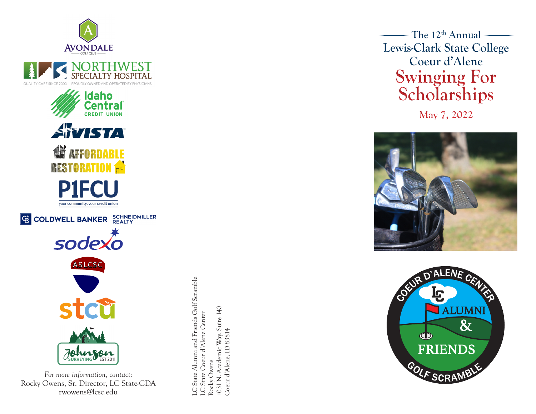





**G COLDWELL BANKER** SCHNEIDMILLER



LC State Alumni and Friends Golf Scramble<br>LC State Coeur d'Alene Center LC State Alumni and Friends Golf Scramble 1031 N. Academic Way, Suite 140 1031 N. Academic Way, Suite 140<br>Coeur d'Alene, ID 83814 LC State Coeur d'Alene Center Coeur d'Alene, ID 83814 Rocky Owens Rocky Owens

The  $12<sup>th</sup>$  Annual – **Lewis-Clark State College Coeur d'Alene Swinging For Scholarships**

**May 7, 2022**





Rocky Owens, Sr. Director, LC State-CDA rwowens@lcsc.edu

*For more information, contact:*